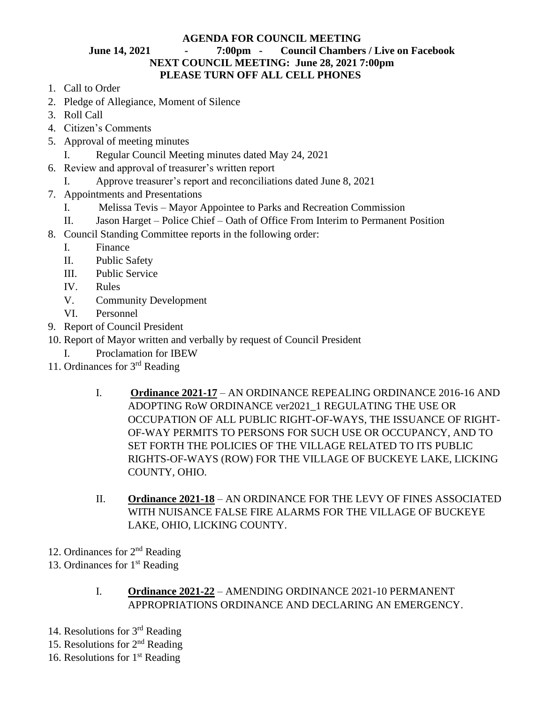## **AGENDA FOR COUNCIL MEETING June 14, 2021 - 7:00pm - Council Chambers / Live on Facebook NEXT COUNCIL MEETING: June 28, 2021 7:00pm PLEASE TURN OFF ALL CELL PHONES**

- 1. Call to Order
- 2. Pledge of Allegiance, Moment of Silence
- 3. Roll Call
- 4. Citizen's Comments
- 5. Approval of meeting minutes
	- I. Regular Council Meeting minutes dated May 24, 2021
- 6. Review and approval of treasurer's written report
	- I. Approve treasurer's report and reconciliations dated June 8, 2021
- 7. Appointments and Presentations
	- I. Melissa Tevis Mayor Appointee to Parks and Recreation Commission
	- II. Jason Harget Police Chief Oath of Office From Interim to Permanent Position
- 8. Council Standing Committee reports in the following order:
	- I. Finance
	- II. Public Safety
	- III. Public Service
	- IV. Rules
	- V. Community Development
	- VI. Personnel
- 9. Report of Council President
- 10. Report of Mayor written and verbally by request of Council President
	- I. Proclamation for IBEW
- 11. Ordinances for 3rd Reading
	- I. **Ordinance 2021-17** AN ORDINANCE REPEALING ORDINANCE 2016-16 AND ADOPTING RoW ORDINANCE ver2021\_1 REGULATING THE USE OR OCCUPATION OF ALL PUBLIC RIGHT-OF-WAYS, THE ISSUANCE OF RIGHT-OF-WAY PERMITS TO PERSONS FOR SUCH USE OR OCCUPANCY, AND TO SET FORTH THE POLICIES OF THE VILLAGE RELATED TO ITS PUBLIC RIGHTS-OF-WAYS (ROW) FOR THE VILLAGE OF BUCKEYE LAKE, LICKING COUNTY, OHIO.
	- II. **Ordinance 2021-18** AN ORDINANCE FOR THE LEVY OF FINES ASSOCIATED WITH NUISANCE FALSE FIRE ALARMS FOR THE VILLAGE OF BUCKEYE LAKE, OHIO, LICKING COUNTY.
- 12. Ordinances for 2<sup>nd</sup> Reading
- 13. Ordinances for  $1<sup>st</sup>$  Reading
	- I. **Ordinance 2021-22** AMENDING ORDINANCE 2021-10 PERMANENT APPROPRIATIONS ORDINANCE AND DECLARING AN EMERGENCY.
- 14. Resolutions for 3rd Reading
- 15. Resolutions for  $2<sup>nd</sup>$  Reading
- 16. Resolutions for  $1<sup>st</sup>$  Reading